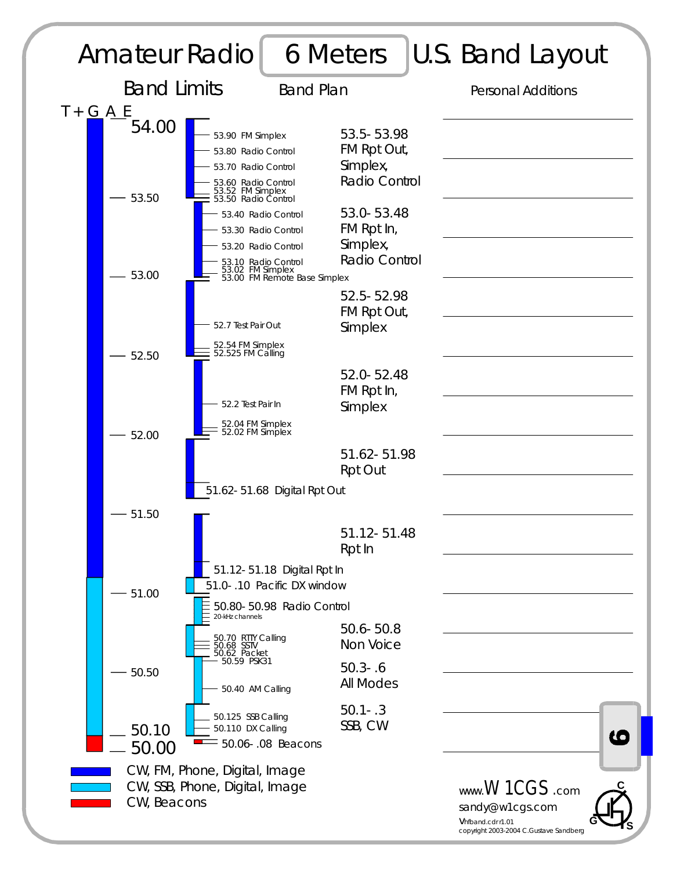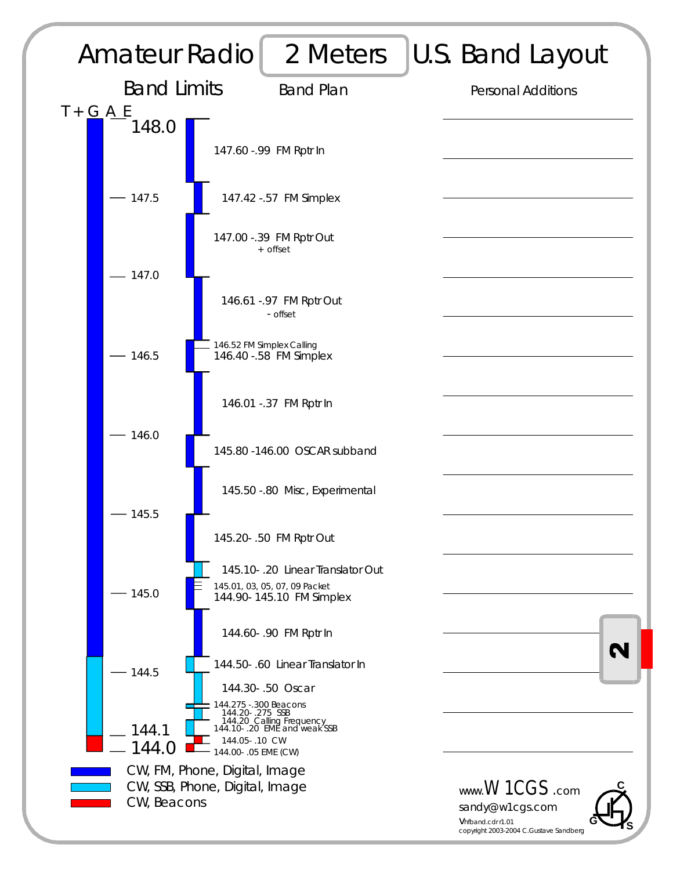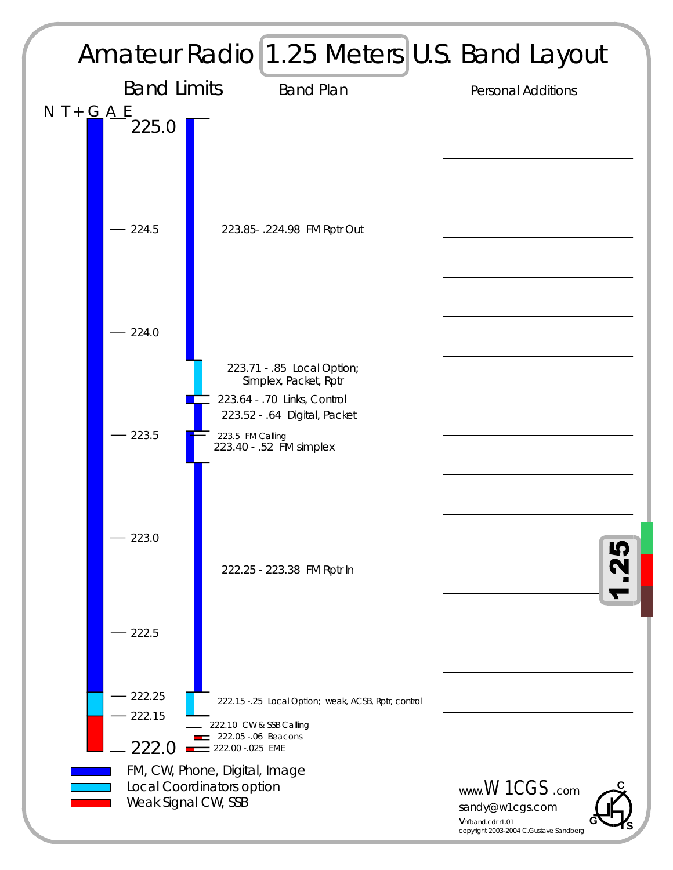